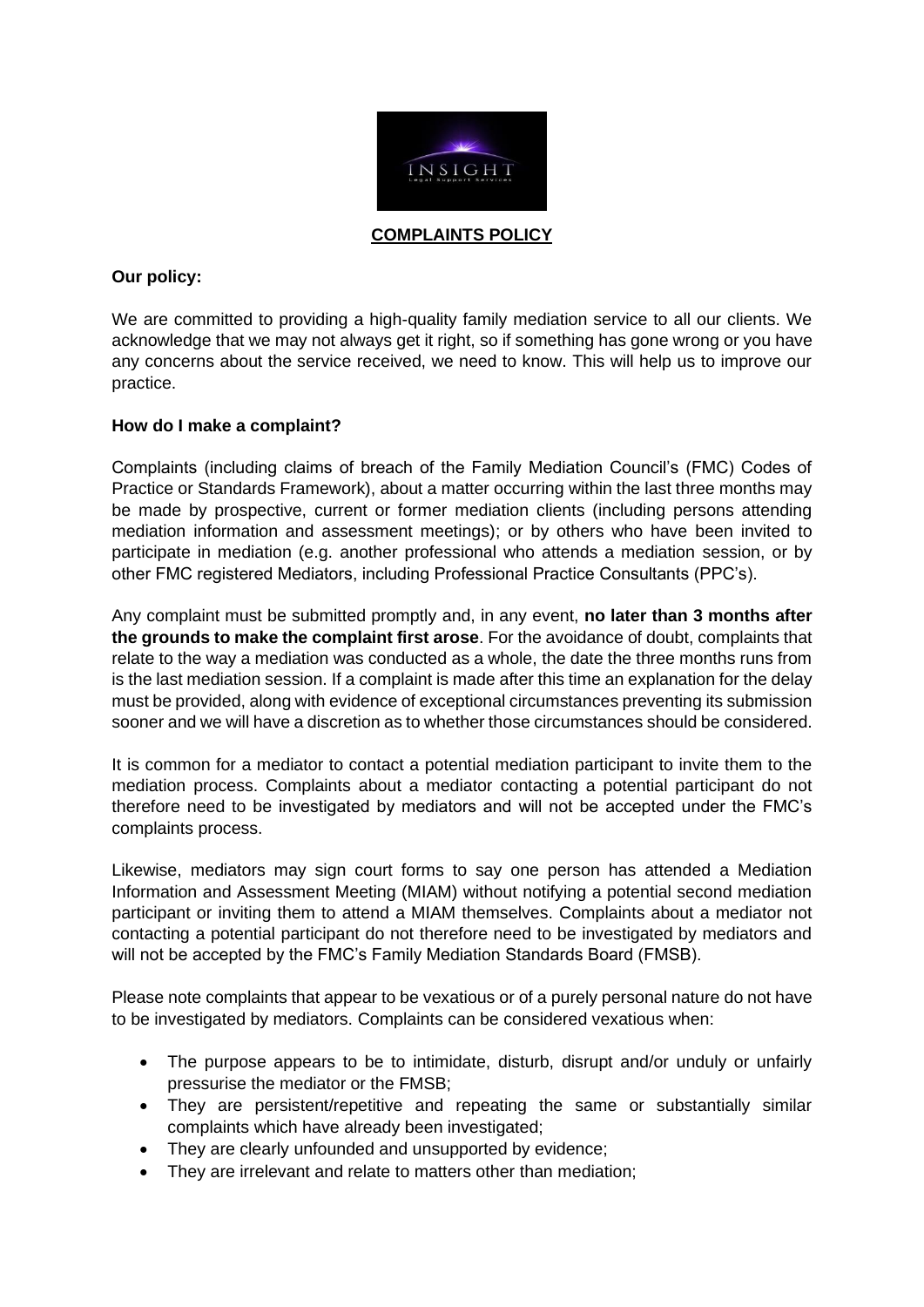

**COMPLAINTS POLICY**

## **Our policy:**

We are committed to providing a high-quality family mediation service to all our clients. We acknowledge that we may not always get it right, so if something has gone wrong or you have any concerns about the service received, we need to know. This will help us to improve our practice.

## **How do I make a complaint?**

Complaints (including claims of breach of the Family Mediation Council's (FMC) Codes of Practice or Standards Framework), about a matter occurring within the last three months may be made by prospective, current or former mediation clients (including persons attending mediation information and assessment meetings); or by others who have been invited to participate in mediation (e.g. another professional who attends a mediation session, or by other FMC registered Mediators, including Professional Practice Consultants (PPC's).

Any complaint must be submitted promptly and, in any event, **no later than 3 months after the grounds to make the complaint first arose**. For the avoidance of doubt, complaints that relate to the way a mediation was conducted as a whole, the date the three months runs from is the last mediation session. If a complaint is made after this time an explanation for the delay must be provided, along with evidence of exceptional circumstances preventing its submission sooner and we will have a discretion as to whether those circumstances should be considered.

It is common for a mediator to contact a potential mediation participant to invite them to the mediation process. Complaints about a mediator contacting a potential participant do not therefore need to be investigated by mediators and will not be accepted under the FMC's complaints process.

Likewise, mediators may sign court forms to say one person has attended a Mediation Information and Assessment Meeting (MIAM) without notifying a potential second mediation participant or inviting them to attend a MIAM themselves. Complaints about a mediator not contacting a potential participant do not therefore need to be investigated by mediators and will not be accepted by the FMC's Family Mediation Standards Board (FMSB).

Please note complaints that appear to be vexatious or of a purely personal nature do not have to be investigated by mediators. Complaints can be considered vexatious when:

- The purpose appears to be to intimidate, disturb, disrupt and/or unduly or unfairly pressurise the mediator or the FMSB;
- They are persistent/repetitive and repeating the same or substantially similar complaints which have already been investigated;
- They are clearly unfounded and unsupported by evidence;
- They are irrelevant and relate to matters other than mediation;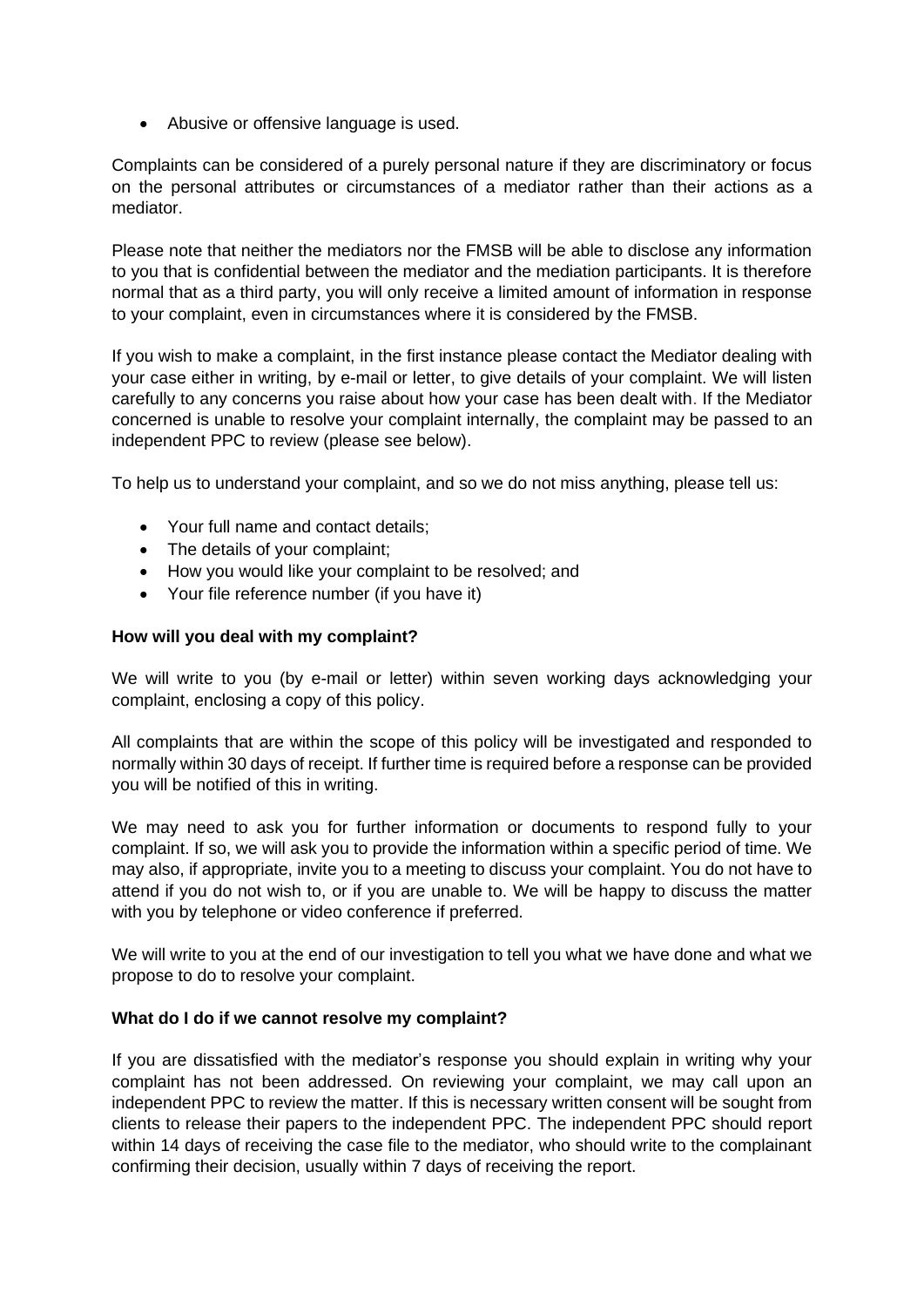• Abusive or offensive language is used.

Complaints can be considered of a purely personal nature if they are discriminatory or focus on the personal attributes or circumstances of a mediator rather than their actions as a mediator.

Please note that neither the mediators nor the FMSB will be able to disclose any information to you that is confidential between the mediator and the mediation participants. It is therefore normal that as a third party, you will only receive a limited amount of information in response to your complaint, even in circumstances where it is considered by the FMSB.

If you wish to make a complaint, in the first instance please contact the Mediator dealing with your case either in writing, by e-mail or letter, to give details of your complaint. We will listen carefully to any concerns you raise about how your case has been dealt with. If the Mediator concerned is unable to resolve your complaint internally, the complaint may be passed to an independent PPC to review (please see below).

To help us to understand your complaint, and so we do not miss anything, please tell us:

- Your full name and contact details:
- The details of your complaint;
- How you would like your complaint to be resolved; and
- Your file reference number (if you have it)

## **How will you deal with my complaint?**

We will write to you (by e-mail or letter) within seven working days acknowledging your complaint, enclosing a copy of this policy.

All complaints that are within the scope of this policy will be investigated and responded to normally within 30 days of receipt. If further time is required before a response can be provided you will be notified of this in writing.

We may need to ask you for further information or documents to respond fully to your complaint. If so, we will ask you to provide the information within a specific period of time. We may also, if appropriate, invite you to a meeting to discuss your complaint. You do not have to attend if you do not wish to, or if you are unable to. We will be happy to discuss the matter with you by telephone or video conference if preferred.

We will write to you at the end of our investigation to tell you what we have done and what we propose to do to resolve your complaint.

## **What do I do if we cannot resolve my complaint?**

If you are dissatisfied with the mediator's response you should explain in writing why your complaint has not been addressed. On reviewing your complaint, we may call upon an independent PPC to review the matter. If this is necessary written consent will be sought from clients to release their papers to the independent PPC. The independent PPC should report within 14 days of receiving the case file to the mediator, who should write to the complainant confirming their decision, usually within 7 days of receiving the report.